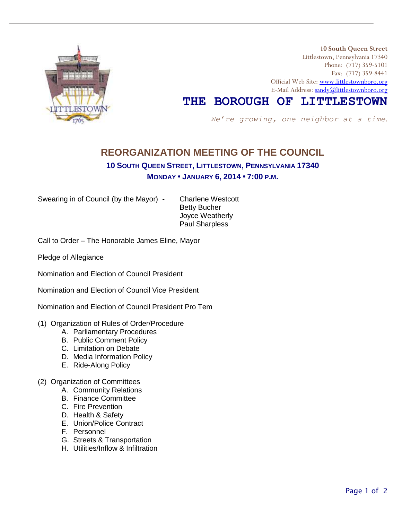

 **10 South Queen Street** Littlestown, Pennsylvania 17340 Phone: (717) 359-5101 Fax: (717) 359-8441 Official Web Site: [www.littlestownboro.org](http://www.littlestown.us/) E-Mail Address: [sandy@littlestownboro.org](mailto:sandy@littlestownboro.org)

# **THE BOROUGH OF LITTLESTOWN**

 *We're growing, one neighbor at a time*.

## **REORGANIZATION MEETING OF THE COUNCIL**

#### **10 SOUTH QUEEN STREET, LITTLESTOWN, PENNSYLVANIA 17340**

### **MONDAY • JANUARY 6, 2014 • 7:00 P.M.**

Swearing in of Council (by the Mayor) - Charlene Westcott

Betty Bucher Joyce Weatherly Paul Sharpless

Call to Order – The Honorable James Eline, Mayor

Pledge of Allegiance

Nomination and Election of Council President

Nomination and Election of Council Vice President

Nomination and Election of Council President Pro Tem

- (1) Organization of Rules of Order/Procedure
	- A. Parliamentary Procedures
	- B. Public Comment Policy
	- C. Limitation on Debate
	- D. Media Information Policy
	- E. Ride-Along Policy
- (2) Organization of Committees
	- A. Community Relations
	- B. Finance Committee
	- C. Fire Prevention
	- D. Health & Safety
	- E. Union/Police Contract
	- F. Personnel
	- G. Streets & Transportation
	- H. Utilities/Inflow & Infiltration